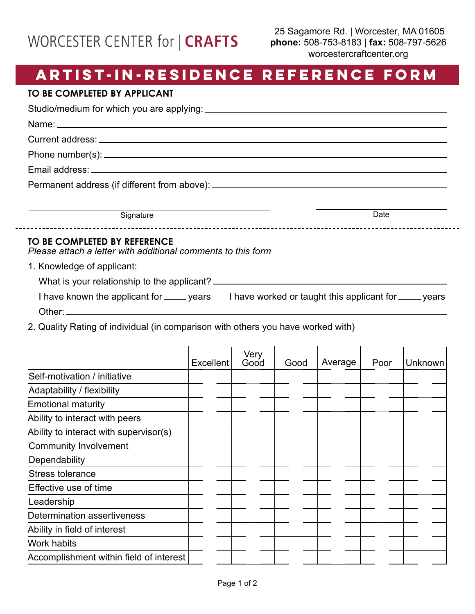## WORCESTER CENTER for | CRAFTS

## **ARTIST-IN-RESIDENCE REFERENCE FORM**

## **TO BE COMPLETED BY APPLICANT**

Studio/medium for which you are applying:

Name:

Current address:

Phone number(s):

Email address: \_\_\_\_\_\_\_\_

Permanent address (if different from above): \_\_\_\_\_\_\_\_\_\_\_\_\_\_\_\_\_\_\_\_\_\_\_\_\_\_\_\_\_\_\_\_\_\_\_

Signature Date

## **TO BE COMPLETED BY REFERENCE**

*Please attach a letter with additional comments to this form*

1. Knowledge of applicant:

|  | What is your relationship to the applicant? <sub>-</sub> |  |  |
|--|----------------------------------------------------------|--|--|
|--|----------------------------------------------------------|--|--|

| I have known the applicant for ______ years | I have worked or taught this applicant for ______ years |
|---------------------------------------------|---------------------------------------------------------|
| Other:                                      |                                                         |

2. Quality Rating of individual (in comparison with others you have worked with)

|                                         | <b>Excellent</b> | Very<br>Good | Good | Average | Poor | Unknown |
|-----------------------------------------|------------------|--------------|------|---------|------|---------|
| Self-motivation / initiative            |                  |              |      |         |      |         |
| Adaptability / flexibility              |                  |              |      |         |      |         |
| <b>Emotional maturity</b>               |                  |              |      |         |      |         |
| Ability to interact with peers          |                  |              |      |         |      |         |
| Ability to interact with supervisor(s)  |                  |              |      |         |      |         |
| <b>Community Involvement</b>            |                  |              |      |         |      |         |
| Dependability                           |                  |              |      |         |      |         |
| <b>Stress tolerance</b>                 |                  |              |      |         |      |         |
| Effective use of time                   |                  |              |      |         |      |         |
| Leadership                              |                  |              |      |         |      |         |
| <b>Determination assertiveness</b>      |                  |              |      |         |      |         |
| Ability in field of interest            |                  |              |      |         |      |         |
| <b>Work habits</b>                      |                  |              |      |         |      |         |
| Accomplishment within field of interest |                  |              |      |         |      |         |